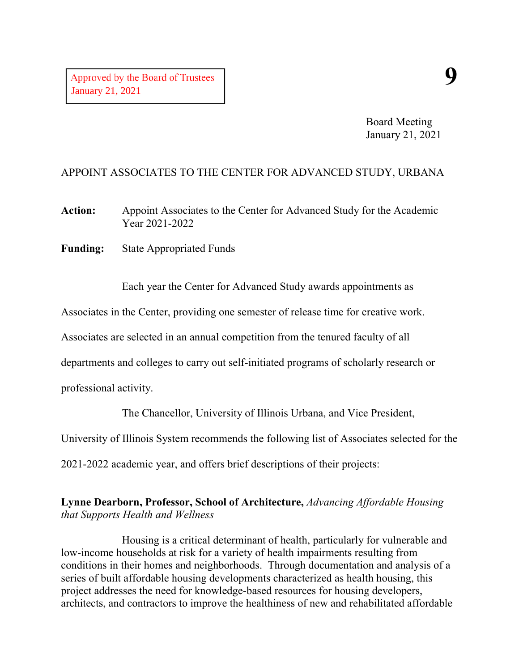Board Meeting January 21, 2021

# APPOINT ASSOCIATES TO THE CENTER FOR ADVANCED STUDY, URBANA

**Action:** Appoint Associates to the Center for Advanced Study for the Academic Year 2021-2022

**Funding:** State Appropriated Funds

Each year the Center for Advanced Study awards appointments as

Associates in the Center, providing one semester of release time for creative work.

Associates are selected in an annual competition from the tenured faculty of all

departments and colleges to carry out self-initiated programs of scholarly research or

professional activity.

The Chancellor, University of Illinois Urbana, and Vice President,

University of Illinois System recommends the following list of Associates selected for the

2021-2022 academic year, and offers brief descriptions of their projects:

# **Lynne Dearborn, Professor, School of Architecture,** *Advancing Affordable Housing that Supports Health and Wellness*

Housing is a critical determinant of health, particularly for vulnerable and low-income households at risk for a variety of health impairments resulting from conditions in their homes and neighborhoods. Through documentation and analysis of a series of built affordable housing developments characterized as health housing, this project addresses the need for knowledge-based resources for housing developers, architects, and contractors to improve the healthiness of new and rehabilitated affordable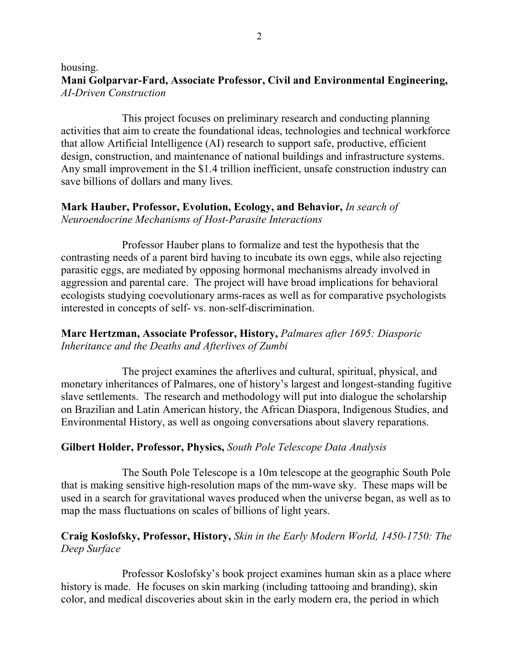#### housing. **Mani Golparvar-Fard, Associate Professor, Civil and Environmental Engineering,** *AI-Driven Construction*

This project focuses on preliminary research and conducting planning activities that aim to create the foundational ideas, technologies and technical workforce that allow Artificial Intelligence (AI) research to support safe, productive, efficient design, construction, and maintenance of national buildings and infrastructure systems. Any small improvement in the \$1.4 trillion inefficient, unsafe construction industry can save billions of dollars and many lives.

#### **Mark Hauber, Professor, Evolution, Ecology, and Behavior,** *In search of Neuroendocrine Mechanisms of Host-Parasite Interactions*

Professor Hauber plans to formalize and test the hypothesis that the contrasting needs of a parent bird having to incubate its own eggs, while also rejecting parasitic eggs, are mediated by opposing hormonal mechanisms already involved in aggression and parental care. The project will have broad implications for behavioral ecologists studying coevolutionary arms-races as well as for comparative psychologists interested in concepts of self- vs. non-self-discrimination.

# **Marc Hertzman, Associate Professor, History,** *Palmares after 1695: Diasporic Inheritance and the Deaths and Afterlives of Zumbi*

The project examines the afterlives and cultural, spiritual, physical, and monetary inheritances of Palmares, one of history's largest and longest-standing fugitive slave settlements. The research and methodology will put into dialogue the scholarship on Brazilian and Latin American history, the African Diaspora, Indigenous Studies, and Environmental History, as well as ongoing conversations about slavery reparations.

### **Gilbert Holder, Professor, Physics,** *South Pole Telescope Data Analysis*

The South Pole Telescope is a 10m telescope at the geographic South Pole that is making sensitive high-resolution maps of the mm-wave sky. These maps will be used in a search for gravitational waves produced when the universe began, as well as to map the mass fluctuations on scales of billions of light years.

# **Craig Koslofsky, Professor, History,** *Skin in the Early Modern World, 1450-1750: The Deep Surface*

Professor Koslofsky's book project examines human skin as a place where history is made. He focuses on skin marking (including tattooing and branding), skin color, and medical discoveries about skin in the early modern era, the period in which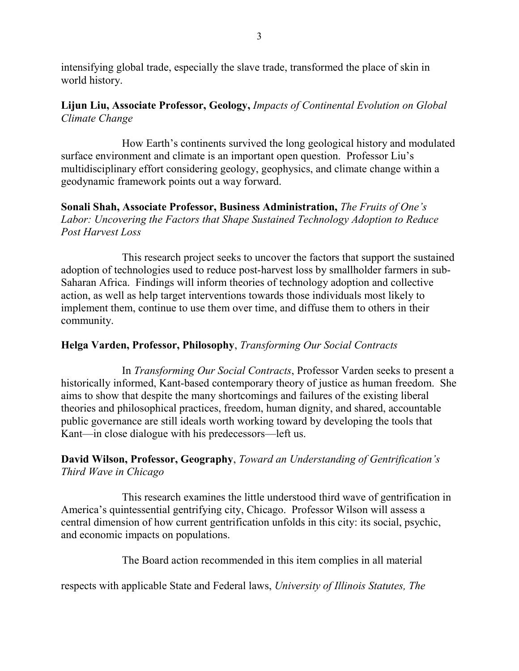intensifying global trade, especially the slave trade, transformed the place of skin in world history.

# **Lijun Liu, Associate Professor, Geology,** *Impacts of Continental Evolution on Global Climate Change*

How Earth's continents survived the long geological history and modulated surface environment and climate is an important open question. Professor Liu's multidisciplinary effort considering geology, geophysics, and climate change within a geodynamic framework points out a way forward.

### **Sonali Shah, Associate Professor, Business Administration,** *The Fruits of One's Labor: Uncovering the Factors that Shape Sustained Technology Adoption to Reduce Post Harvest Loss*

This research project seeks to uncover the factors that support the sustained adoption of technologies used to reduce post-harvest loss by smallholder farmers in sub-Saharan Africa. Findings will inform theories of technology adoption and collective action, as well as help target interventions towards those individuals most likely to implement them, continue to use them over time, and diffuse them to others in their community.

# **Helga Varden, Professor, Philosophy**, *Transforming Our Social Contracts*

In *Transforming Our Social Contracts*, Professor Varden seeks to present a historically informed, Kant-based contemporary theory of justice as human freedom. She aims to show that despite the many shortcomings and failures of the existing liberal theories and philosophical practices, freedom, human dignity, and shared, accountable public governance are still ideals worth working toward by developing the tools that Kant—in close dialogue with his predecessors—left us.

# **David Wilson, Professor, Geography**, *Toward an Understanding of Gentrification's Third Wave in Chicago*

This research examines the little understood third wave of gentrification in America's quintessential gentrifying city, Chicago. Professor Wilson will assess a central dimension of how current gentrification unfolds in this city: its social, psychic, and economic impacts on populations.

The Board action recommended in this item complies in all material

respects with applicable State and Federal laws, *University of Illinois Statutes, The*